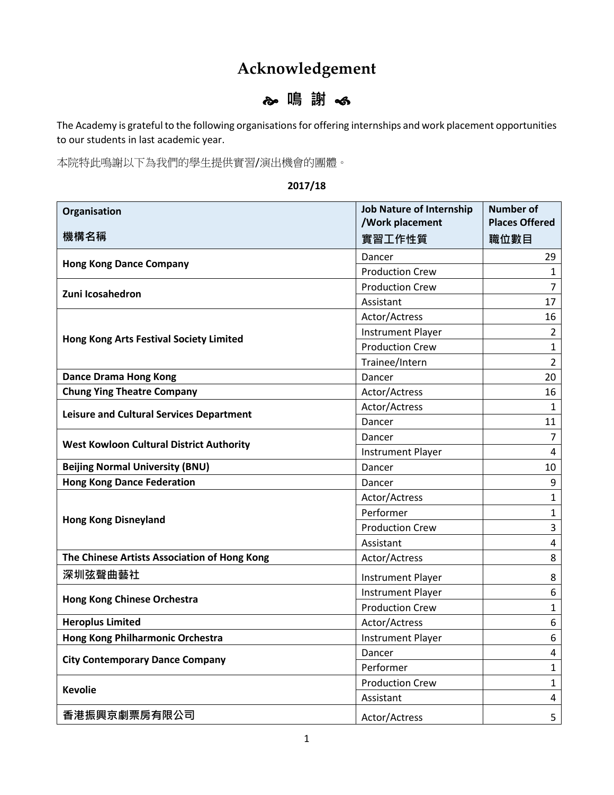## **Acknowledgement**

## **鳴 謝**

The Academy is grateful to the following organisations for offering internships and work placement opportunities to our students in last academic year.

本院特此鳴謝以下為我們的學生提供實習/演出機會的團體。

## **2017/18**

| Organisation                                    | <b>Job Nature of Internship</b> | <b>Number of</b>      |
|-------------------------------------------------|---------------------------------|-----------------------|
|                                                 | /Work placement                 | <b>Places Offered</b> |
| 機構名稱                                            | 實習工作性質                          | 職位數目                  |
|                                                 | Dancer                          | 29                    |
| <b>Hong Kong Dance Company</b>                  | <b>Production Crew</b>          | $\mathbf{1}$          |
| Zuni Icosahedron                                | <b>Production Crew</b>          | $\overline{7}$        |
|                                                 | Assistant                       | 17                    |
|                                                 | Actor/Actress                   | 16                    |
| <b>Hong Kong Arts Festival Society Limited</b>  | <b>Instrument Player</b>        | $\overline{2}$        |
|                                                 | <b>Production Crew</b>          | $\mathbf{1}$          |
|                                                 | Trainee/Intern                  | $\overline{2}$        |
| <b>Dance Drama Hong Kong</b>                    | Dancer                          | 20                    |
| <b>Chung Ying Theatre Company</b>               | Actor/Actress                   | 16                    |
| <b>Leisure and Cultural Services Department</b> | Actor/Actress                   | $\mathbf{1}$          |
|                                                 | Dancer                          | 11                    |
| <b>West Kowloon Cultural District Authority</b> | Dancer                          | $\overline{7}$        |
|                                                 | <b>Instrument Player</b>        | 4                     |
| <b>Beijing Normal University (BNU)</b>          | Dancer                          | 10                    |
| <b>Hong Kong Dance Federation</b>               | Dancer                          | 9                     |
|                                                 | Actor/Actress                   | $\mathbf{1}$          |
|                                                 | Performer                       | $\mathbf{1}$          |
| <b>Hong Kong Disneyland</b>                     | <b>Production Crew</b>          | 3                     |
|                                                 | Assistant                       | 4                     |
| The Chinese Artists Association of Hong Kong    | Actor/Actress                   | 8                     |
| 深圳弦聲曲藝社                                         | <b>Instrument Player</b>        | 8                     |
|                                                 | <b>Instrument Player</b>        | 6                     |
| <b>Hong Kong Chinese Orchestra</b>              | <b>Production Crew</b>          | $\mathbf{1}$          |
| <b>Heroplus Limited</b>                         | Actor/Actress                   | 6                     |
| Hong Kong Philharmonic Orchestra                | <b>Instrument Player</b>        | 6                     |
| <b>City Contemporary Dance Company</b>          | Dancer                          | 4                     |
|                                                 | Performer                       | $\mathbf{1}$          |
| <b>Kevolie</b>                                  | <b>Production Crew</b>          | $\mathbf{1}$          |
|                                                 | Assistant                       | 4                     |
| 香港振興京劇票房有限公司                                    | Actor/Actress                   | 5                     |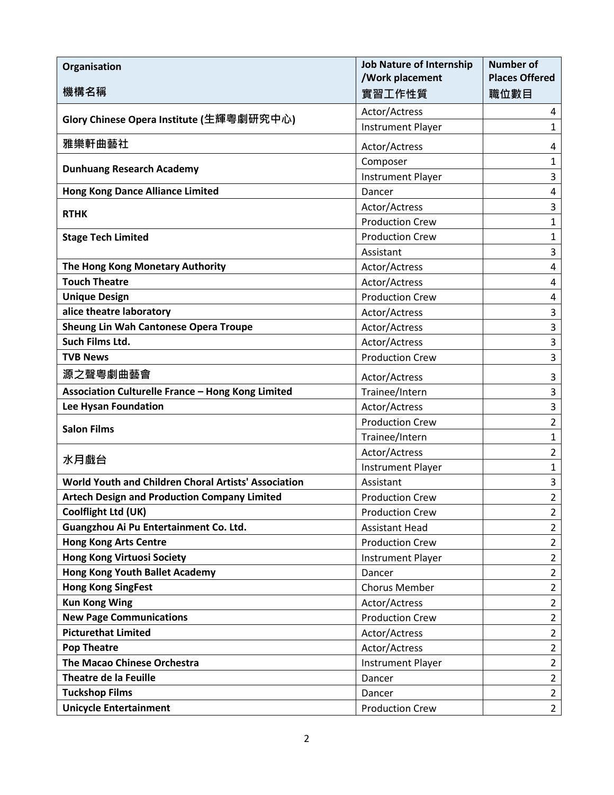| <b>Organisation</b>                                  | <b>Job Nature of Internship</b><br>/Work placement | <b>Number of</b><br><b>Places Offered</b> |
|------------------------------------------------------|----------------------------------------------------|-------------------------------------------|
| 機構名稱                                                 | 實習工作性質                                             | 職位數目                                      |
| Glory Chinese Opera Institute (生輝粵劇研究中心)             | Actor/Actress                                      | 4                                         |
|                                                      | <b>Instrument Player</b>                           | $\mathbf{1}$                              |
| 雅樂軒曲藝社                                               | Actor/Actress                                      | 4                                         |
| <b>Dunhuang Research Academy</b>                     | Composer                                           | $\mathbf{1}$                              |
|                                                      | <b>Instrument Player</b>                           | 3                                         |
| <b>Hong Kong Dance Alliance Limited</b>              | Dancer                                             | 4                                         |
| <b>RTHK</b>                                          | Actor/Actress                                      | 3                                         |
|                                                      | <b>Production Crew</b>                             | $\mathbf{1}$                              |
| <b>Stage Tech Limited</b>                            | <b>Production Crew</b>                             | $\mathbf{1}$                              |
|                                                      | Assistant                                          | 3                                         |
| The Hong Kong Monetary Authority                     | Actor/Actress                                      | 4                                         |
| <b>Touch Theatre</b>                                 | Actor/Actress                                      | 4                                         |
| <b>Unique Design</b>                                 | <b>Production Crew</b>                             | 4                                         |
| alice theatre laboratory                             | Actor/Actress                                      | 3                                         |
| <b>Sheung Lin Wah Cantonese Opera Troupe</b>         | Actor/Actress                                      | 3                                         |
| Such Films Ltd.                                      | Actor/Actress                                      | 3                                         |
| <b>TVB News</b>                                      | <b>Production Crew</b>                             | 3                                         |
| 源之聲粵劇曲藝會                                             | Actor/Actress                                      | 3                                         |
| Association Culturelle France - Hong Kong Limited    | Trainee/Intern                                     | 3                                         |
| Lee Hysan Foundation                                 | Actor/Actress                                      | 3                                         |
|                                                      | <b>Production Crew</b>                             | $\overline{2}$                            |
| <b>Salon Films</b>                                   | Trainee/Intern                                     | $\mathbf{1}$                              |
| 水月戲台                                                 | Actor/Actress                                      | $\overline{2}$                            |
|                                                      | <b>Instrument Player</b>                           | $\mathbf{1}$                              |
| World Youth and Children Choral Artists' Association | Assistant                                          | 3                                         |
| <b>Artech Design and Production Company Limited</b>  | <b>Production Crew</b>                             | $\overline{2}$                            |
| Coolflight Ltd (UK)                                  | <b>Production Crew</b>                             | $\overline{2}$                            |
| Guangzhou Ai Pu Entertainment Co. Ltd.               | <b>Assistant Head</b>                              | $\overline{2}$                            |
| <b>Hong Kong Arts Centre</b>                         | <b>Production Crew</b>                             | $\overline{2}$                            |
| <b>Hong Kong Virtuosi Society</b>                    | <b>Instrument Player</b>                           | $\overline{2}$                            |
| <b>Hong Kong Youth Ballet Academy</b>                | Dancer                                             | $\overline{2}$                            |
| <b>Hong Kong SingFest</b>                            | <b>Chorus Member</b>                               | $\overline{2}$                            |
| <b>Kun Kong Wing</b>                                 | Actor/Actress                                      | $\overline{2}$                            |
| <b>New Page Communications</b>                       | <b>Production Crew</b>                             | $\overline{2}$                            |
| <b>Picturethat Limited</b>                           | Actor/Actress                                      | $\overline{2}$                            |
| <b>Pop Theatre</b>                                   | Actor/Actress                                      | $\overline{2}$                            |
| The Macao Chinese Orchestra                          | <b>Instrument Player</b>                           | $\overline{2}$                            |
| <b>Theatre de la Feuille</b>                         | Dancer                                             | $\overline{2}$                            |
| <b>Tuckshop Films</b>                                | Dancer                                             | $\overline{2}$                            |
| <b>Unicycle Entertainment</b>                        | <b>Production Crew</b>                             | $\overline{2}$                            |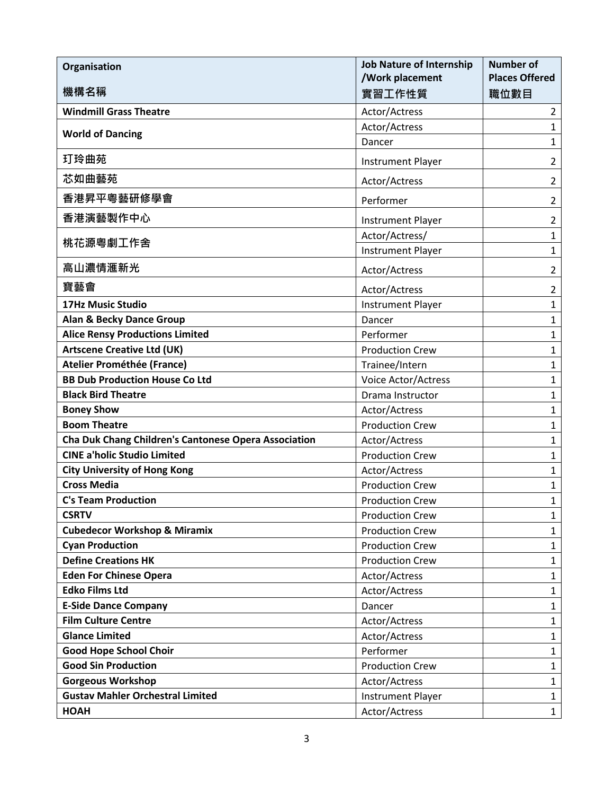| Organisation                                         | <b>Job Nature of Internship</b><br>/Work placement | <b>Number of</b><br><b>Places Offered</b> |
|------------------------------------------------------|----------------------------------------------------|-------------------------------------------|
| 機構名稱                                                 | 實習工作性質                                             | 職位數目                                      |
| <b>Windmill Grass Theatre</b>                        | Actor/Actress                                      | $\overline{2}$                            |
| <b>World of Dancing</b>                              | Actor/Actress                                      | $\mathbf{1}$                              |
|                                                      | Dancer                                             | $\mathbf{1}$                              |
| 玎玲曲苑                                                 | <b>Instrument Player</b>                           | $\overline{2}$                            |
| 芯如曲藝苑                                                | Actor/Actress                                      | $\overline{2}$                            |
| 香港昇平粵藝研修學會                                           | Performer                                          | $\overline{2}$                            |
| 香港演藝製作中心                                             | <b>Instrument Player</b>                           | $\overline{2}$                            |
|                                                      | Actor/Actress/                                     | $\mathbf{1}$                              |
| 桃花源粵劇工作舍                                             | <b>Instrument Player</b>                           | $\mathbf{1}$                              |
| 高山濃情滙新光                                              | Actor/Actress                                      | $\overline{2}$                            |
| 寶藝會                                                  | Actor/Actress                                      | $\overline{2}$                            |
| <b>17Hz Music Studio</b>                             | <b>Instrument Player</b>                           | $\mathbf{1}$                              |
| <b>Alan &amp; Becky Dance Group</b>                  | Dancer                                             | $\mathbf{1}$                              |
| <b>Alice Rensy Productions Limited</b>               | Performer                                          | $\mathbf{1}$                              |
| <b>Artscene Creative Ltd (UK)</b>                    | <b>Production Crew</b>                             | $\mathbf{1}$                              |
| <b>Atelier Prométhée (France)</b>                    | Trainee/Intern                                     | $\mathbf{1}$                              |
| <b>BB Dub Production House Co Ltd</b>                | Voice Actor/Actress                                | $\mathbf{1}$                              |
| <b>Black Bird Theatre</b>                            | Drama Instructor                                   | $\mathbf{1}$                              |
| <b>Boney Show</b>                                    | Actor/Actress                                      | $\mathbf{1}$                              |
| <b>Boom Theatre</b>                                  | <b>Production Crew</b>                             | $\mathbf{1}$                              |
| Cha Duk Chang Children's Cantonese Opera Association | Actor/Actress                                      | $\mathbf{1}$                              |
| <b>CINE a'holic Studio Limited</b>                   | <b>Production Crew</b>                             | $\mathbf{1}$                              |
| <b>City University of Hong Kong</b>                  | Actor/Actress                                      | $\mathbf{1}$                              |
| <b>Cross Media</b>                                   | <b>Production Crew</b>                             | $\mathbf{1}$                              |
| <b>C's Team Production</b>                           | <b>Production Crew</b>                             | $\mathbf{1}$                              |
| <b>CSRTV</b>                                         | <b>Production Crew</b>                             | $\mathbf{1}$                              |
| <b>Cubedecor Workshop &amp; Miramix</b>              | <b>Production Crew</b>                             | $\mathbf{1}$                              |
| <b>Cyan Production</b>                               | <b>Production Crew</b>                             | $\mathbf{1}$                              |
| <b>Define Creations HK</b>                           | <b>Production Crew</b>                             | $\mathbf{1}$                              |
| <b>Eden For Chinese Opera</b>                        | Actor/Actress                                      | $\mathbf{1}$                              |
| <b>Edko Films Ltd</b>                                | Actor/Actress                                      | $\mathbf{1}$                              |
| <b>E-Side Dance Company</b>                          | Dancer                                             | $\mathbf{1}$                              |
| <b>Film Culture Centre</b>                           | Actor/Actress                                      | $\mathbf{1}$                              |
| <b>Glance Limited</b>                                | Actor/Actress                                      | $\mathbf{1}$                              |
| <b>Good Hope School Choir</b>                        | Performer                                          | $\mathbf{1}$                              |
| <b>Good Sin Production</b>                           | <b>Production Crew</b>                             | $\mathbf{1}$                              |
| <b>Gorgeous Workshop</b>                             | Actor/Actress                                      | 1                                         |
| <b>Gustav Mahler Orchestral Limited</b>              | <b>Instrument Player</b>                           | $\mathbf{1}$                              |
| <b>HOAH</b>                                          | Actor/Actress                                      | $\mathbf{1}$                              |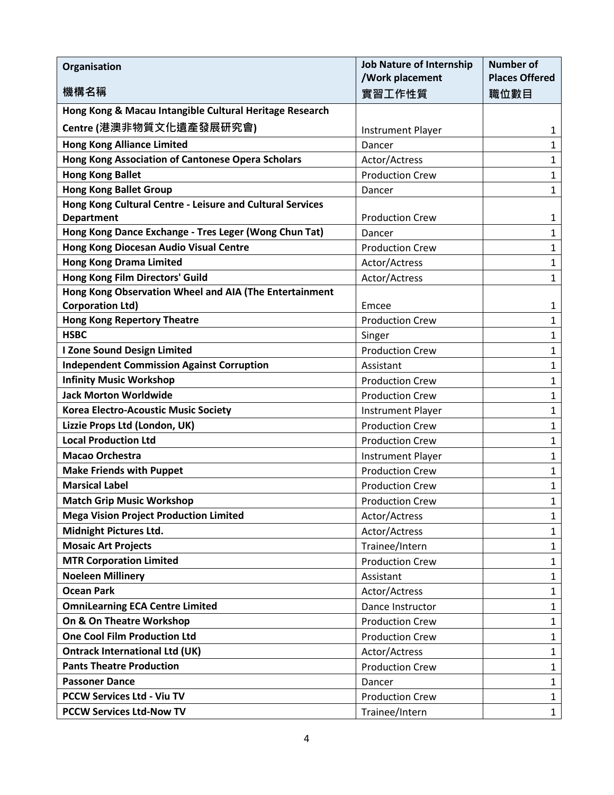| Organisation                                                                   | <b>Job Nature of Internship</b><br>/Work placement | <b>Number of</b><br><b>Places Offered</b> |
|--------------------------------------------------------------------------------|----------------------------------------------------|-------------------------------------------|
| 機構名稱                                                                           | 實習工作性質                                             | 職位數目                                      |
| Hong Kong & Macau Intangible Cultural Heritage Research                        |                                                    |                                           |
| Centre (港澳非物質文化遺產發展研究會)                                                        | <b>Instrument Player</b>                           | 1                                         |
| <b>Hong Kong Alliance Limited</b>                                              | Dancer                                             | 1                                         |
| Hong Kong Association of Cantonese Opera Scholars                              | Actor/Actress                                      | $\mathbf{1}$                              |
| <b>Hong Kong Ballet</b>                                                        | <b>Production Crew</b>                             | $\mathbf{1}$                              |
| <b>Hong Kong Ballet Group</b>                                                  | Dancer                                             | $\mathbf{1}$                              |
| Hong Kong Cultural Centre - Leisure and Cultural Services<br><b>Department</b> | <b>Production Crew</b>                             | 1                                         |
| Hong Kong Dance Exchange - Tres Leger (Wong Chun Tat)                          | Dancer                                             | $\mathbf{1}$                              |
| Hong Kong Diocesan Audio Visual Centre                                         | <b>Production Crew</b>                             | $\mathbf{1}$                              |
| <b>Hong Kong Drama Limited</b>                                                 | Actor/Actress                                      | $\mathbf{1}$                              |
| Hong Kong Film Directors' Guild                                                | Actor/Actress                                      | $\mathbf{1}$                              |
| Hong Kong Observation Wheel and AIA (The Entertainment                         |                                                    |                                           |
| <b>Corporation Ltd)</b>                                                        | Emcee                                              | 1                                         |
| <b>Hong Kong Repertory Theatre</b>                                             | <b>Production Crew</b>                             | $\mathbf{1}$                              |
| <b>HSBC</b>                                                                    | Singer                                             | $\mathbf{1}$                              |
| I Zone Sound Design Limited                                                    | <b>Production Crew</b>                             | $\mathbf{1}$                              |
| <b>Independent Commission Against Corruption</b>                               | Assistant                                          | $\mathbf{1}$                              |
| <b>Infinity Music Workshop</b>                                                 | <b>Production Crew</b>                             | $\mathbf{1}$                              |
| <b>Jack Morton Worldwide</b>                                                   | <b>Production Crew</b>                             | $\mathbf{1}$                              |
| <b>Korea Electro-Acoustic Music Society</b>                                    | <b>Instrument Player</b>                           | $\mathbf{1}$                              |
| Lizzie Props Ltd (London, UK)                                                  | <b>Production Crew</b>                             | $\mathbf{1}$                              |
| <b>Local Production Ltd</b>                                                    | <b>Production Crew</b>                             | $\mathbf{1}$                              |
| Macao Orchestra                                                                | <b>Instrument Player</b>                           | $\mathbf{1}$                              |
| <b>Make Friends with Puppet</b>                                                | <b>Production Crew</b>                             | $\mathbf{1}$                              |
| <b>Marsical Label</b>                                                          | <b>Production Crew</b>                             | $\mathbf{1}$                              |
| <b>Match Grip Music Workshop</b>                                               | <b>Production Crew</b>                             | 1                                         |
| <b>Mega Vision Project Production Limited</b>                                  | Actor/Actress                                      | 1                                         |
| <b>Midnight Pictures Ltd.</b>                                                  | Actor/Actress                                      | $\mathbf{1}$                              |
| <b>Mosaic Art Projects</b>                                                     | Trainee/Intern                                     | $\mathbf{1}$                              |
| <b>MTR Corporation Limited</b>                                                 | <b>Production Crew</b>                             | $\mathbf{1}$                              |
| <b>Noeleen Millinery</b>                                                       | Assistant                                          | $\mathbf{1}$                              |
| <b>Ocean Park</b>                                                              | Actor/Actress                                      | $\mathbf{1}$                              |
| <b>OmniLearning ECA Centre Limited</b>                                         | Dance Instructor                                   | $\mathbf{1}$                              |
| On & On Theatre Workshop                                                       | <b>Production Crew</b>                             | 1                                         |
| <b>One Cool Film Production Ltd</b>                                            | <b>Production Crew</b>                             | $\mathbf{1}$                              |
| <b>Ontrack International Ltd (UK)</b>                                          | Actor/Actress                                      | $\mathbf{1}$                              |
| <b>Pants Theatre Production</b>                                                | <b>Production Crew</b>                             | 1                                         |
| <b>Passoner Dance</b>                                                          | Dancer                                             | $\mathbf{1}$                              |
| <b>PCCW Services Ltd - Viu TV</b>                                              | <b>Production Crew</b>                             | $\mathbf{1}$                              |
| <b>PCCW Services Ltd-Now TV</b>                                                | Trainee/Intern                                     | $\mathbf{1}$                              |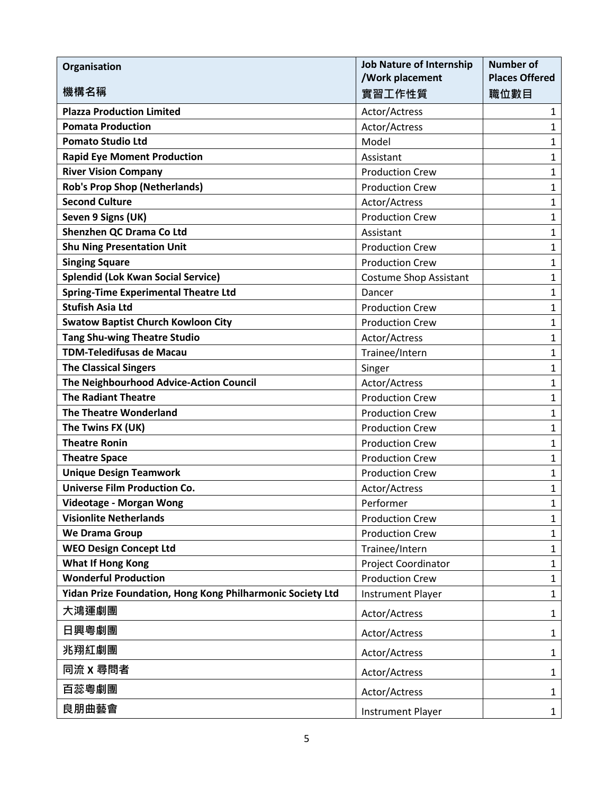| Organisation                                               | <b>Job Nature of Internship</b><br>/Work placement | <b>Number of</b><br><b>Places Offered</b> |
|------------------------------------------------------------|----------------------------------------------------|-------------------------------------------|
| 機構名稱                                                       | 實習工作性質                                             | 職位數目                                      |
| <b>Plazza Production Limited</b>                           | Actor/Actress                                      | $\mathbf{1}$                              |
| <b>Pomata Production</b>                                   | Actor/Actress                                      | $\mathbf{1}$                              |
| <b>Pomato Studio Ltd</b>                                   | Model                                              | $\mathbf{1}$                              |
| <b>Rapid Eye Moment Production</b>                         | Assistant                                          | $\mathbf{1}$                              |
| <b>River Vision Company</b>                                | <b>Production Crew</b>                             | $\mathbf{1}$                              |
| <b>Rob's Prop Shop (Netherlands)</b>                       | <b>Production Crew</b>                             | $\mathbf{1}$                              |
| <b>Second Culture</b>                                      | Actor/Actress                                      | $\mathbf{1}$                              |
| Seven 9 Signs (UK)                                         | <b>Production Crew</b>                             | $\mathbf{1}$                              |
| Shenzhen QC Drama Co Ltd                                   | Assistant                                          | $\mathbf{1}$                              |
| <b>Shu Ning Presentation Unit</b>                          | <b>Production Crew</b>                             | $\mathbf{1}$                              |
| <b>Singing Square</b>                                      | <b>Production Crew</b>                             | $\mathbf{1}$                              |
| <b>Splendid (Lok Kwan Social Service)</b>                  | <b>Costume Shop Assistant</b>                      | $\mathbf{1}$                              |
| <b>Spring-Time Experimental Theatre Ltd</b>                | Dancer                                             | $\mathbf{1}$                              |
| <b>Stufish Asia Ltd</b>                                    | <b>Production Crew</b>                             | $\mathbf{1}$                              |
| <b>Swatow Baptist Church Kowloon City</b>                  | <b>Production Crew</b>                             | $\mathbf{1}$                              |
| <b>Tang Shu-wing Theatre Studio</b>                        | Actor/Actress                                      | $\mathbf{1}$                              |
| <b>TDM-Teledifusas de Macau</b>                            | Trainee/Intern                                     | $\mathbf{1}$                              |
| <b>The Classical Singers</b>                               | Singer                                             | $\mathbf{1}$                              |
| The Neighbourhood Advice-Action Council                    | Actor/Actress                                      | $\mathbf{1}$                              |
| <b>The Radiant Theatre</b>                                 | <b>Production Crew</b>                             | $\mathbf{1}$                              |
| <b>The Theatre Wonderland</b>                              | <b>Production Crew</b>                             | $\mathbf{1}$                              |
| The Twins FX (UK)                                          | <b>Production Crew</b>                             | $\mathbf{1}$                              |
| <b>Theatre Ronin</b>                                       | <b>Production Crew</b>                             | $\mathbf{1}$                              |
| <b>Theatre Space</b>                                       | <b>Production Crew</b>                             | $\mathbf{1}$                              |
| <b>Unique Design Teamwork</b>                              | <b>Production Crew</b>                             | $\mathbf{1}$                              |
| <b>Universe Film Production Co.</b>                        | Actor/Actress                                      | $\mathbf{1}$                              |
| Videotage - Morgan Wong                                    | Performer                                          | $\mathbf{1}$                              |
| <b>Visionlite Netherlands</b>                              | <b>Production Crew</b>                             | $\mathbf{1}$                              |
| We Drama Group                                             | <b>Production Crew</b>                             | $\mathbf{1}$                              |
| <b>WEO Design Concept Ltd</b>                              | Trainee/Intern                                     | $\mathbf{1}$                              |
| <b>What If Hong Kong</b>                                   | Project Coordinator                                | $\mathbf{1}$                              |
| <b>Wonderful Production</b>                                | <b>Production Crew</b>                             | $\mathbf{1}$                              |
| Yidan Prize Foundation, Hong Kong Philharmonic Society Ltd | <b>Instrument Player</b>                           | $\mathbf{1}$                              |
| 大鴻運劇團                                                      | Actor/Actress                                      | $\mathbf{1}$                              |
| 日興粵劇團                                                      | Actor/Actress                                      | $\mathbf{1}$                              |
| 兆翔紅劇團                                                      | Actor/Actress                                      | $\mathbf{1}$                              |
| 同流 x 尋問者                                                   | Actor/Actress                                      | $\mathbf{1}$                              |
| 百蕊粵劇團                                                      | Actor/Actress                                      | $\mathbf{1}$                              |
| 良朋曲藝會                                                      | <b>Instrument Player</b>                           | $\mathbf{1}$                              |